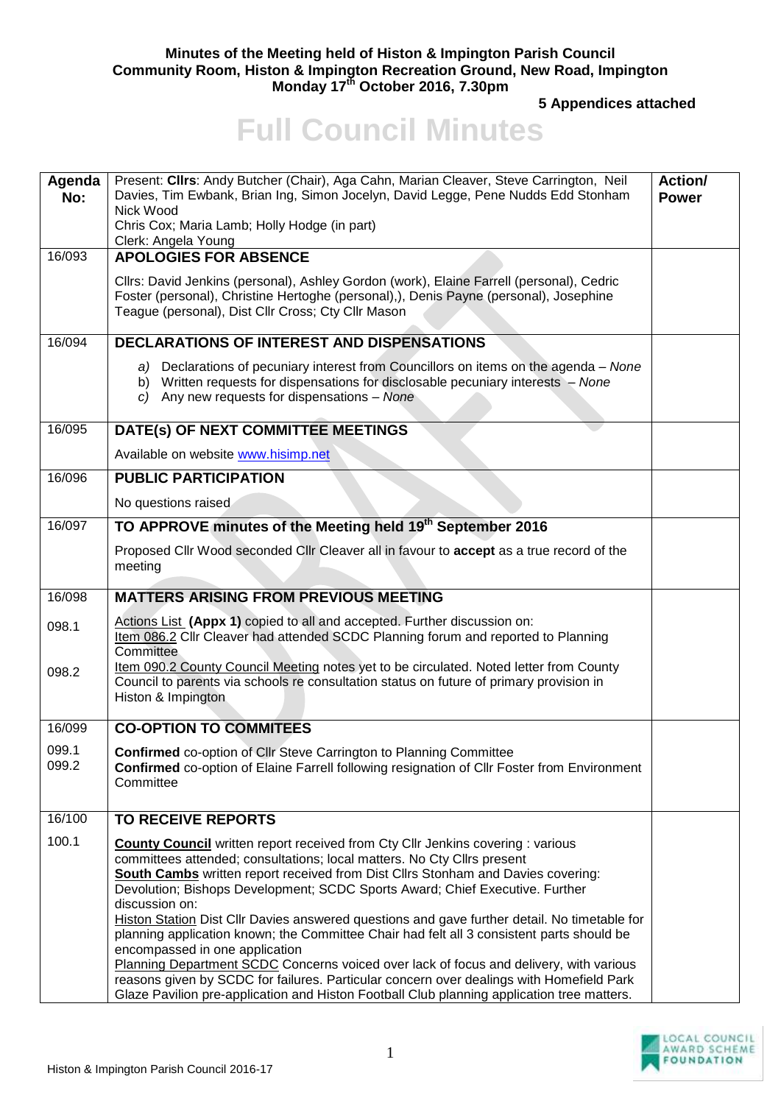## **Minutes of the Meeting held of Histon & Impington Parish Council Community Room, Histon & Impington Recreation Ground, New Road, Impington Monday 17th October 2016, 7.30pm**

**5 Appendices attached** 

## **Full Council Minutes**

| Agenda<br>No:  | Present: Cllrs: Andy Butcher (Chair), Aga Cahn, Marian Cleaver, Steve Carrington, Neil<br>Davies, Tim Ewbank, Brian Ing, Simon Jocelyn, David Legge, Pene Nudds Edd Stonham<br>Nick Wood<br>Chris Cox; Maria Lamb; Holly Hodge (in part)<br>Clerk: Angela Young                                                                                                                                                                                                                                                                                                                               | Action/<br><b>Power</b> |
|----------------|-----------------------------------------------------------------------------------------------------------------------------------------------------------------------------------------------------------------------------------------------------------------------------------------------------------------------------------------------------------------------------------------------------------------------------------------------------------------------------------------------------------------------------------------------------------------------------------------------|-------------------------|
| 16/093         | <b>APOLOGIES FOR ABSENCE</b>                                                                                                                                                                                                                                                                                                                                                                                                                                                                                                                                                                  |                         |
|                | Cllrs: David Jenkins (personal), Ashley Gordon (work), Elaine Farrell (personal), Cedric<br>Foster (personal), Christine Hertoghe (personal),), Denis Payne (personal), Josephine<br>Teague (personal), Dist Cllr Cross; Cty Cllr Mason                                                                                                                                                                                                                                                                                                                                                       |                         |
| 16/094         | <b>DECLARATIONS OF INTEREST AND DISPENSATIONS</b>                                                                                                                                                                                                                                                                                                                                                                                                                                                                                                                                             |                         |
|                | a) Declarations of pecuniary interest from Councillors on items on the agenda - None<br>b) Written requests for dispensations for disclosable pecuniary interests - None<br>$c)$ Any new requests for dispensations - None                                                                                                                                                                                                                                                                                                                                                                    |                         |
| 16/095         | DATE(s) OF NEXT COMMITTEE MEETINGS                                                                                                                                                                                                                                                                                                                                                                                                                                                                                                                                                            |                         |
|                | Available on website www.hisimp.net                                                                                                                                                                                                                                                                                                                                                                                                                                                                                                                                                           |                         |
| 16/096         | <b>PUBLIC PARTICIPATION</b>                                                                                                                                                                                                                                                                                                                                                                                                                                                                                                                                                                   |                         |
|                | No questions raised                                                                                                                                                                                                                                                                                                                                                                                                                                                                                                                                                                           |                         |
| 16/097         | TO APPROVE minutes of the Meeting held 19 <sup>th</sup> September 2016                                                                                                                                                                                                                                                                                                                                                                                                                                                                                                                        |                         |
|                | Proposed Clir Wood seconded Clir Cleaver all in favour to accept as a true record of the<br>meeting                                                                                                                                                                                                                                                                                                                                                                                                                                                                                           |                         |
| 16/098         | <b>MATTERS ARISING FROM PREVIOUS MEETING</b>                                                                                                                                                                                                                                                                                                                                                                                                                                                                                                                                                  |                         |
| 098.1          | Actions List (Appx 1) copied to all and accepted. Further discussion on:<br>Item 086.2 Cllr Cleaver had attended SCDC Planning forum and reported to Planning<br>Committee                                                                                                                                                                                                                                                                                                                                                                                                                    |                         |
| 098.2          | Item 090.2 County Council Meeting notes yet to be circulated. Noted letter from County<br>Council to parents via schools re consultation status on future of primary provision in<br>Histon & Impington                                                                                                                                                                                                                                                                                                                                                                                       |                         |
| 16/099         | <b>CO-OPTION TO COMMITEES</b>                                                                                                                                                                                                                                                                                                                                                                                                                                                                                                                                                                 |                         |
| 099.1<br>099.2 | <b>Confirmed co-option of Cllr Steve Carrington to Planning Committee</b><br>Confirmed co-option of Elaine Farrell following resignation of Cllr Foster from Environment<br>Committee                                                                                                                                                                                                                                                                                                                                                                                                         |                         |
| 16/100         | <b>TO RECEIVE REPORTS</b>                                                                                                                                                                                                                                                                                                                                                                                                                                                                                                                                                                     |                         |
| 100.1          | <b>County Council</b> written report received from Cty Cllr Jenkins covering : various<br>committees attended; consultations; local matters. No Cty Cllrs present<br><b>South Cambs</b> written report received from Dist Cllrs Stonham and Davies covering:<br>Devolution; Bishops Development; SCDC Sports Award; Chief Executive. Further<br>discussion on:<br>Histon Station Dist Cllr Davies answered questions and gave further detail. No timetable for<br>planning application known; the Committee Chair had felt all 3 consistent parts should be<br>encompassed in one application |                         |
|                | Planning Department SCDC Concerns voiced over lack of focus and delivery, with various<br>reasons given by SCDC for failures. Particular concern over dealings with Homefield Park<br>Glaze Pavilion pre-application and Histon Football Club planning application tree matters.                                                                                                                                                                                                                                                                                                              |                         |

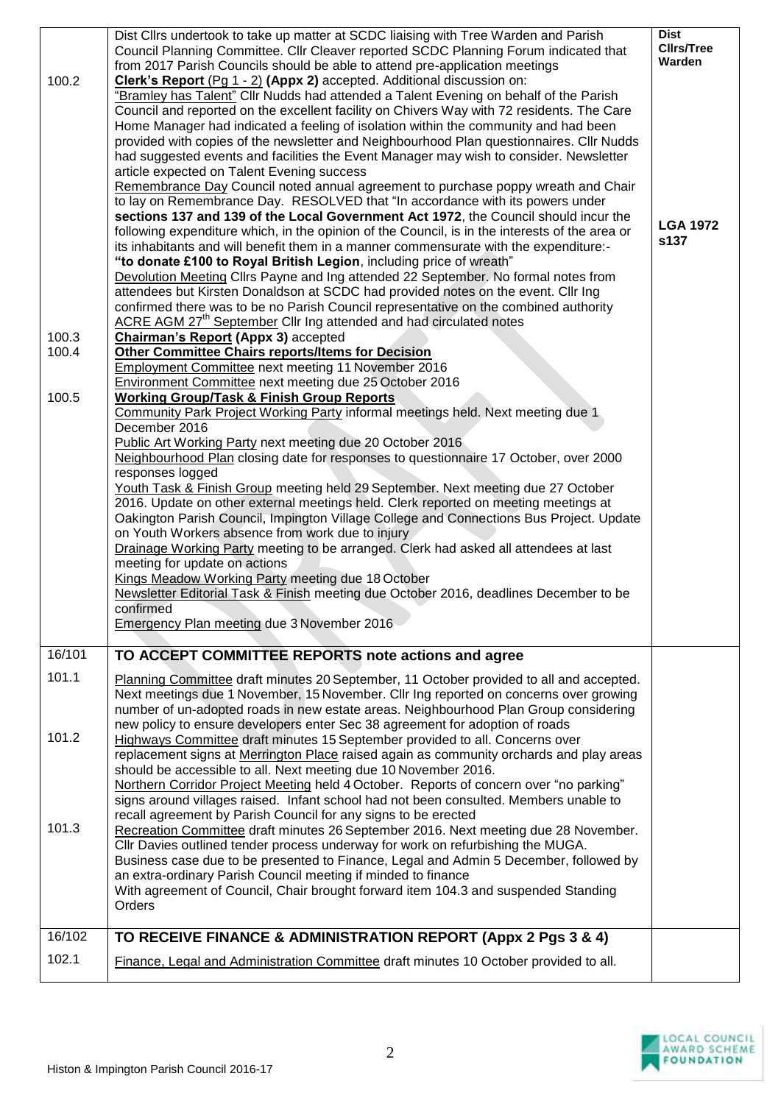| 100.2           | Dist Cllrs undertook to take up matter at SCDC liaising with Tree Warden and Parish<br>Council Planning Committee. Cllr Cleaver reported SCDC Planning Forum indicated that<br>from 2017 Parish Councils should be able to attend pre-application meetings<br>Clerk's Report (Pg 1 - 2) (Appx 2) accepted. Additional discussion on:<br>"Bramley has Talent" Cllr Nudds had attended a Talent Evening on behalf of the Parish<br>Council and reported on the excellent facility on Chivers Way with 72 residents. The Care<br>Home Manager had indicated a feeling of isolation within the community and had been<br>provided with copies of the newsletter and Neighbourhood Plan questionnaires. Cllr Nudds<br>had suggested events and facilities the Event Manager may wish to consider. Newsletter<br>article expected on Talent Evening success<br>Remembrance Day Council noted annual agreement to purchase poppy wreath and Chair<br>to lay on Remembrance Day. RESOLVED that "In accordance with its powers under<br>sections 137 and 139 of the Local Government Act 1972, the Council should incur the<br>following expenditure which, in the opinion of the Council, is in the interests of the area or<br>its inhabitants and will benefit them in a manner commensurate with the expenditure:-<br>"to donate £100 to Royal British Legion, including price of wreath"<br>Devolution Meeting Cllrs Payne and Ing attended 22 September. No formal notes from<br>attendees but Kirsten Donaldson at SCDC had provided notes on the event. Cllr Ing<br>confirmed there was to be no Parish Council representative on the combined authority<br>ACRE AGM 27 <sup>th</sup> September Cllr Ing attended and had circulated notes | <b>Dist</b><br><b>Clirs/Tree</b><br>Warden<br><b>LGA 1972</b><br>s137 |
|-----------------|-------------------------------------------------------------------------------------------------------------------------------------------------------------------------------------------------------------------------------------------------------------------------------------------------------------------------------------------------------------------------------------------------------------------------------------------------------------------------------------------------------------------------------------------------------------------------------------------------------------------------------------------------------------------------------------------------------------------------------------------------------------------------------------------------------------------------------------------------------------------------------------------------------------------------------------------------------------------------------------------------------------------------------------------------------------------------------------------------------------------------------------------------------------------------------------------------------------------------------------------------------------------------------------------------------------------------------------------------------------------------------------------------------------------------------------------------------------------------------------------------------------------------------------------------------------------------------------------------------------------------------------------------------------------------------------------------------------------------------------------|-----------------------------------------------------------------------|
| 100.3<br>100.4  | Chairman's Report (Appx 3) accepted<br><b>Other Committee Chairs reports/Items for Decision</b><br><b>Employment Committee next meeting 11 November 2016</b>                                                                                                                                                                                                                                                                                                                                                                                                                                                                                                                                                                                                                                                                                                                                                                                                                                                                                                                                                                                                                                                                                                                                                                                                                                                                                                                                                                                                                                                                                                                                                                              |                                                                       |
| 100.5           | Environment Committee next meeting due 25 October 2016<br><b>Working Group/Task &amp; Finish Group Reports</b><br>Community Park Project Working Party informal meetings held. Next meeting due 1<br>December 2016<br>Public Art Working Party next meeting due 20 October 2016<br>Neighbourhood Plan closing date for responses to questionnaire 17 October, over 2000<br>responses logged<br>Youth Task & Finish Group meeting held 29 September. Next meeting due 27 October<br>2016. Update on other external meetings held. Clerk reported on meeting meetings at<br>Oakington Parish Council, Impington Village College and Connections Bus Project. Update<br>on Youth Workers absence from work due to injury<br>Drainage Working Party meeting to be arranged. Clerk had asked all attendees at last<br>meeting for update on actions<br>Kings Meadow Working Party meeting due 18 October<br>Newsletter Editorial Task & Finish meeting due October 2016, deadlines December to be<br>confirmed<br>Emergency Plan meeting due 3 November 2016                                                                                                                                                                                                                                                                                                                                                                                                                                                                                                                                                                                                                                                                                   |                                                                       |
| 16/101<br>101.1 | TO ACCEPT COMMITTEE REPORTS note actions and agree<br>Planning Committee draft minutes 20 September, 11 October provided to all and accepted.<br>Next meetings due 1 November, 15 November. Cllr Ing reported on concerns over growing                                                                                                                                                                                                                                                                                                                                                                                                                                                                                                                                                                                                                                                                                                                                                                                                                                                                                                                                                                                                                                                                                                                                                                                                                                                                                                                                                                                                                                                                                                    |                                                                       |
| 101.2           | number of un-adopted roads in new estate areas. Neighbourhood Plan Group considering<br>new policy to ensure developers enter Sec 38 agreement for adoption of roads<br>Highways Committee draft minutes 15 September provided to all. Concerns over<br>replacement signs at Merrington Place raised again as community orchards and play areas<br>should be accessible to all. Next meeting due 10 November 2016.<br>Northern Corridor Project Meeting held 4 October. Reports of concern over "no parking"<br>signs around villages raised. Infant school had not been consulted. Members unable to                                                                                                                                                                                                                                                                                                                                                                                                                                                                                                                                                                                                                                                                                                                                                                                                                                                                                                                                                                                                                                                                                                                                     |                                                                       |
| 101.3           | recall agreement by Parish Council for any signs to be erected<br>Recreation Committee draft minutes 26 September 2016. Next meeting due 28 November.<br>CIIr Davies outlined tender process underway for work on refurbishing the MUGA.<br>Business case due to be presented to Finance, Legal and Admin 5 December, followed by<br>an extra-ordinary Parish Council meeting if minded to finance<br>With agreement of Council, Chair brought forward item 104.3 and suspended Standing<br>Orders                                                                                                                                                                                                                                                                                                                                                                                                                                                                                                                                                                                                                                                                                                                                                                                                                                                                                                                                                                                                                                                                                                                                                                                                                                        |                                                                       |
| 16/102          | TO RECEIVE FINANCE & ADMINISTRATION REPORT (Appx 2 Pgs 3 & 4)                                                                                                                                                                                                                                                                                                                                                                                                                                                                                                                                                                                                                                                                                                                                                                                                                                                                                                                                                                                                                                                                                                                                                                                                                                                                                                                                                                                                                                                                                                                                                                                                                                                                             |                                                                       |
| 102.1           | Finance, Legal and Administration Committee draft minutes 10 October provided to all.                                                                                                                                                                                                                                                                                                                                                                                                                                                                                                                                                                                                                                                                                                                                                                                                                                                                                                                                                                                                                                                                                                                                                                                                                                                                                                                                                                                                                                                                                                                                                                                                                                                     |                                                                       |

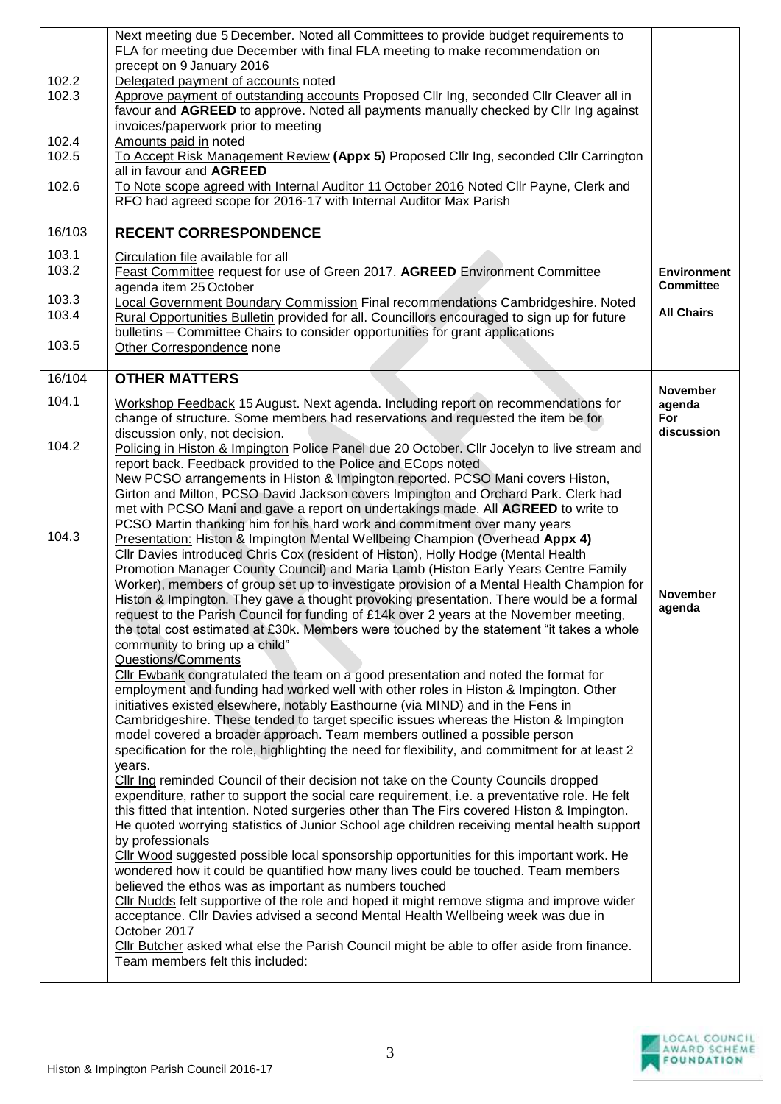| 102.2<br>102.3<br>102.4<br>102.5<br>102.6<br>16/103 | Next meeting due 5 December. Noted all Committees to provide budget requirements to<br>FLA for meeting due December with final FLA meeting to make recommendation on<br>precept on 9 January 2016<br>Delegated payment of accounts noted<br>Approve payment of outstanding accounts Proposed Cllr Ing, seconded Cllr Cleaver all in<br>favour and AGREED to approve. Noted all payments manually checked by Cllr Ing against<br>invoices/paperwork prior to meeting<br>Amounts paid in noted<br>To Accept Risk Management Review (Appx 5) Proposed Cllr Ing, seconded Cllr Carrington<br>all in favour and AGREED<br>To Note scope agreed with Internal Auditor 11 October 2016 Noted Cllr Payne, Clerk and<br>RFO had agreed scope for 2016-17 with Internal Auditor Max Parish<br><b>RECENT CORRESPONDENCE</b> |                                                |
|-----------------------------------------------------|------------------------------------------------------------------------------------------------------------------------------------------------------------------------------------------------------------------------------------------------------------------------------------------------------------------------------------------------------------------------------------------------------------------------------------------------------------------------------------------------------------------------------------------------------------------------------------------------------------------------------------------------------------------------------------------------------------------------------------------------------------------------------------------------------------------|------------------------------------------------|
| 103.1<br>103.2<br>103.3                             | Circulation file available for all<br>Feast Committee request for use of Green 2017. AGREED Environment Committee<br>agenda item 25 October<br><b>Local Government Boundary Commission Final recommendations Cambridgeshire. Noted</b>                                                                                                                                                                                                                                                                                                                                                                                                                                                                                                                                                                           | <b>Environment</b><br><b>Committee</b>         |
| 103.4<br>103.5                                      | Rural Opportunities Bulletin provided for all. Councillors encouraged to sign up for future<br>bulletins – Committee Chairs to consider opportunities for grant applications<br>Other Correspondence none                                                                                                                                                                                                                                                                                                                                                                                                                                                                                                                                                                                                        | <b>All Chairs</b>                              |
| 16/104                                              | <b>OTHER MATTERS</b>                                                                                                                                                                                                                                                                                                                                                                                                                                                                                                                                                                                                                                                                                                                                                                                             |                                                |
| 104.1                                               | Workshop Feedback 15 August. Next agenda. Including report on recommendations for<br>change of structure. Some members had reservations and requested the item be for<br>discussion only, not decision.                                                                                                                                                                                                                                                                                                                                                                                                                                                                                                                                                                                                          | <b>November</b><br>agenda<br>For<br>discussion |
| 104.2                                               | Policing in Histon & Impington Police Panel due 20 October. Cllr Jocelyn to live stream and<br>report back. Feedback provided to the Police and ECops noted<br>New PCSO arrangements in Histon & Impington reported. PCSO Mani covers Histon,<br>Girton and Milton, PCSO David Jackson covers Impington and Orchard Park. Clerk had<br>met with PCSO Mani and gave a report on undertakings made. All AGREED to write to<br>PCSO Martin thanking him for his hard work and commitment over many years                                                                                                                                                                                                                                                                                                            |                                                |
| 104.3                                               | Presentation: Histon & Impington Mental Wellbeing Champion (Overhead Appx 4)<br>Cllr Davies introduced Chris Cox (resident of Histon), Holly Hodge (Mental Health<br>Promotion Manager County Council) and Maria Lamb (Histon Early Years Centre Family<br>Worker), members of group set up to investigate provision of a Mental Health Champion for<br>Histon & Impington. They gave a thought provoking presentation. There would be a formal<br>request to the Parish Council for funding of £14k over 2 years at the November meeting,<br>the total cost estimated at £30k. Members were touched by the statement "it takes a whole<br>community to bring up a child"<br>Questions/Comments                                                                                                                  | <b>November</b><br>agenda                      |
|                                                     | Cllr Ewbank congratulated the team on a good presentation and noted the format for<br>employment and funding had worked well with other roles in Histon & Impington. Other<br>initiatives existed elsewhere, notably Easthourne (via MIND) and in the Fens in<br>Cambridgeshire. These tended to target specific issues whereas the Histon & Impington<br>model covered a broader approach. Team members outlined a possible person<br>specification for the role, highlighting the need for flexibility, and commitment for at least 2<br>years.                                                                                                                                                                                                                                                                |                                                |
|                                                     | Cllr Ing reminded Council of their decision not take on the County Councils dropped<br>expenditure, rather to support the social care requirement, i.e. a preventative role. He felt<br>this fitted that intention. Noted surgeries other than The Firs covered Histon & Impington.<br>He quoted worrying statistics of Junior School age children receiving mental health support<br>by professionals                                                                                                                                                                                                                                                                                                                                                                                                           |                                                |
|                                                     | Cllr Wood suggested possible local sponsorship opportunities for this important work. He<br>wondered how it could be quantified how many lives could be touched. Team members<br>believed the ethos was as important as numbers touched<br>Cllr Nudds felt supportive of the role and hoped it might remove stigma and improve wider<br>acceptance. Cllr Davies advised a second Mental Health Wellbeing week was due in<br>October 2017                                                                                                                                                                                                                                                                                                                                                                         |                                                |
|                                                     | Cllr Butcher asked what else the Parish Council might be able to offer aside from finance.<br>Team members felt this included:                                                                                                                                                                                                                                                                                                                                                                                                                                                                                                                                                                                                                                                                                   |                                                |